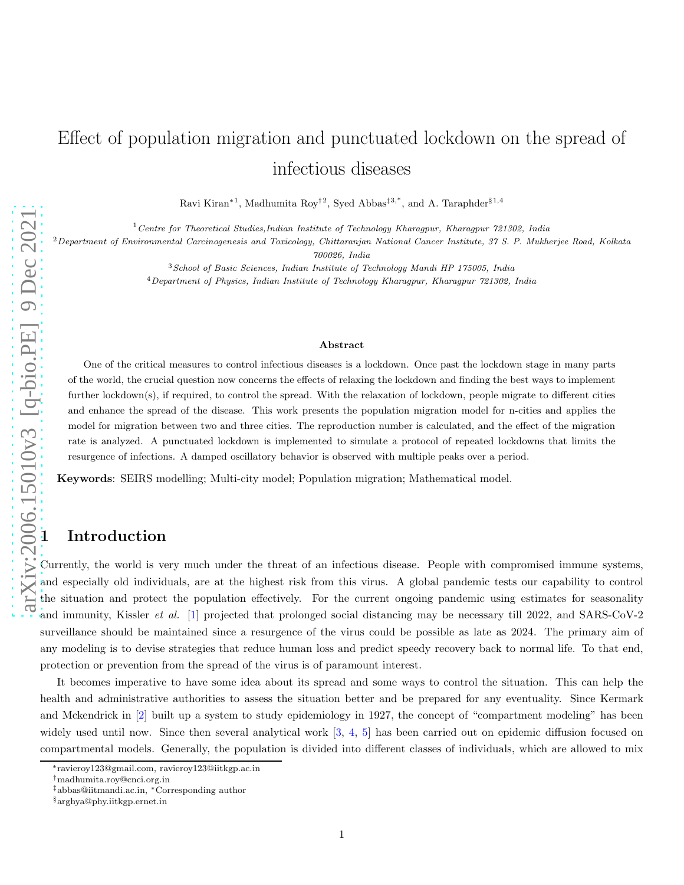# Effect of population migration and punctuated lockdown on the spread of infectious diseases

Ravi Kiran<sup>\*1</sup>, Madhumita Roy<sup>†2</sup>, Syed Abbas<sup>‡3,\*</sup>, and A. Taraphder<sup>§1,4</sup>

 $1$  Centre for Theoretical Studies, Indian Institute of Technology Kharagpur, Kharagpur 721302, India

 $2$ Department of Environmental Carcinogenesis and Toxicology, Chittaranjan National Cancer Institute, 37 S. P. Mukherjee Road, Kolkata

700026, India

<sup>3</sup>School of Basic Sciences, Indian Institute of Technology Mandi HP 175005, India <sup>4</sup>Department of Physics, Indian Institute of Technology Kharagpur, Kharagpur 721302, India

#### Abstract

One of the critical measures to control infectious diseases is a lockdown. Once past the lockdown stage in many parts of the world, the crucial question now concerns the effects of relaxing the lockdown and finding the best ways to implement further lockdown(s), if required, to control the spread. With the relaxation of lockdown, people migrate to different cities and enhance the spread of the disease. This work presents the population migration model for n-cities and applies the model for migration between two and three cities. The reproduction number is calculated, and the effect of the migration rate is analyzed. A punctuated lockdown is implemented to simulate a protocol of repeated lockdowns that limits the resurgence of infections. A damped oscillatory behavior is observed with multiple peaks over a period.

Keywords: SEIRS modelling; Multi-city model; Population migration; Mathematical model.

# **Introduction**

Currently, the world is very much under the threat of an infectious disease. People with compromised immune systems, and especially old individuals, are at the highest risk from this virus. A global pandemic tests our capability to control the situation and protect the population effectively. For the current ongoing pandemic using estimates for seasonality and immunity, Kissler *et al.* [\[1\]](#page-15-0) projected that prolonged social distancing may be necessary till 2022, and SARS-CoV-2 surveillance should be maintained since a resurgence of the virus could be possible as late as 2024. The primary aim of any modeling is to devise strategies that reduce human loss and predict speedy recovery back to normal life. To that end, protection or prevention from the spread of the virus is of paramount interest.

It becomes imperative to have some idea about its spread and some ways to control the situation. This can help the health and administrative authorities to assess the situation better and be prepared for any eventuality. Since Kermark and Mckendrick in [\[2\]](#page-15-1) built up a system to study epidemiology in 1927, the concept of "compartment modeling" has been widely used until now. Since then several analytical work [\[3,](#page-15-2) [4,](#page-15-3) [5\]](#page-15-4) has been carried out on epidemic diffusion focused on compartmental models. Generally, the population is divided into different classes of individuals, which are allowed to mix

<sup>∗</sup> ravieroy123@gmail.com, ravieroy123@iitkgp.ac.in

<sup>†</sup>madhumita.roy@cnci.org.in

<sup>‡</sup>abbas@iitmandi.ac.in, <sup>∗</sup>Corresponding author

<sup>§</sup>arghya@phy.iitkgp.ernet.in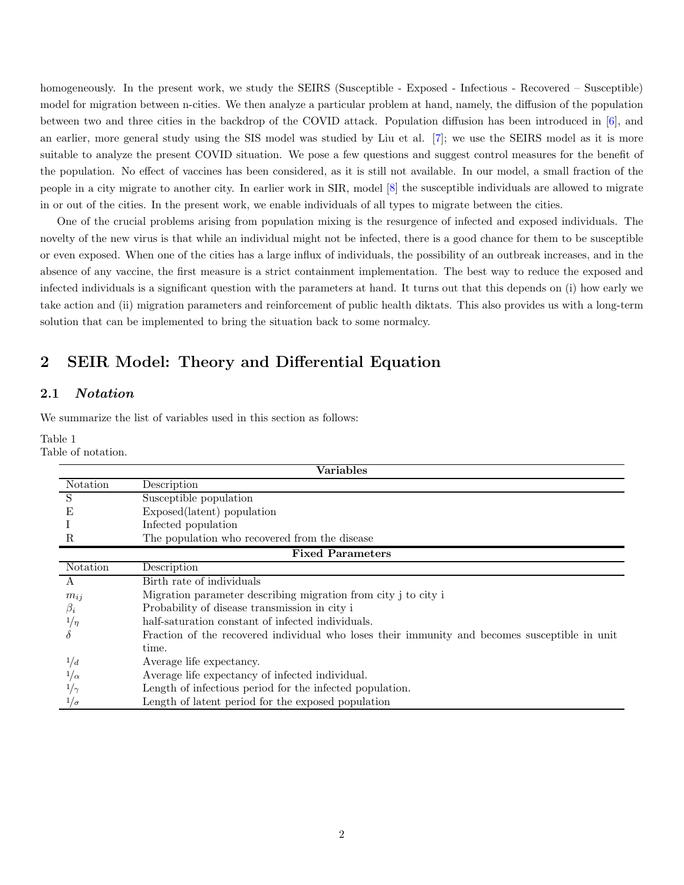homogeneously. In the present work, we study the SEIRS (Susceptible - Exposed - Infectious - Recovered – Susceptible) model for migration between n-cities. We then analyze a particular problem at hand, namely, the diffusion of the population between two and three cities in the backdrop of the COVID attack. Population diffusion has been introduced in [\[6\]](#page-15-5), and an earlier, more general study using the SIS model was studied by Liu et al. [\[7\]](#page-15-6); we use the SEIRS model as it is more suitable to analyze the present COVID situation. We pose a few questions and suggest control measures for the benefit of the population. No effect of vaccines has been considered, as it is still not available. In our model, a small fraction of the people in a city migrate to another city. In earlier work in SIR, model [\[8\]](#page-15-7) the susceptible individuals are allowed to migrate in or out of the cities. In the present work, we enable individuals of all types to migrate between the cities.

One of the crucial problems arising from population mixing is the resurgence of infected and exposed individuals. The novelty of the new virus is that while an individual might not be infected, there is a good chance for them to be susceptible or even exposed. When one of the cities has a large influx of individuals, the possibility of an outbreak increases, and in the absence of any vaccine, the first measure is a strict containment implementation. The best way to reduce the exposed and infected individuals is a significant question with the parameters at hand. It turns out that this depends on (i) how early we take action and (ii) migration parameters and reinforcement of public health diktats. This also provides us with a long-term solution that can be implemented to bring the situation back to some normalcy.

# 2 SEIR Model: Theory and Differential Equation

## 2.1 Notation

<span id="page-1-0"></span>We summarize the list of variables used in this section as follows:

Table 1

Table of notation.

| Variables               |                                                                                               |  |  |  |  |  |  |
|-------------------------|-----------------------------------------------------------------------------------------------|--|--|--|--|--|--|
| Notation                | Description                                                                                   |  |  |  |  |  |  |
| S                       | Susceptible population                                                                        |  |  |  |  |  |  |
| Е                       | Exposed(latent) population                                                                    |  |  |  |  |  |  |
|                         | Infected population                                                                           |  |  |  |  |  |  |
| R                       | The population who recovered from the disease                                                 |  |  |  |  |  |  |
| <b>Fixed Parameters</b> |                                                                                               |  |  |  |  |  |  |
| Notation                | Description                                                                                   |  |  |  |  |  |  |
| A                       | Birth rate of individuals                                                                     |  |  |  |  |  |  |
| $m_{ij}$                | Migration parameter describing migration from city j to city i                                |  |  |  |  |  |  |
| $\beta_i$               | Probability of disease transmission in city i                                                 |  |  |  |  |  |  |
| $1/\eta$                | half-saturation constant of infected individuals.                                             |  |  |  |  |  |  |
|                         | Fraction of the recovered individual who loses their immunity and becomes susceptible in unit |  |  |  |  |  |  |
|                         | time.                                                                                         |  |  |  |  |  |  |
| 1/d                     | Average life expectancy.                                                                      |  |  |  |  |  |  |
| $1/\alpha$              | Average life expectancy of infected individual.                                               |  |  |  |  |  |  |
|                         | Length of infectious period for the infected population.                                      |  |  |  |  |  |  |
| $^{1/\sigma}$           | Length of latent period for the exposed population                                            |  |  |  |  |  |  |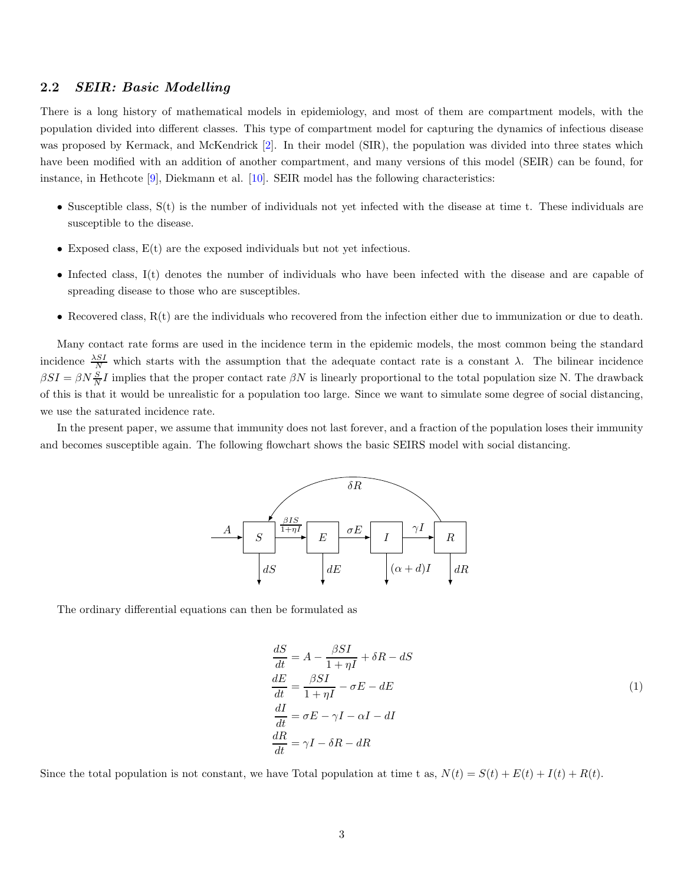## <span id="page-2-0"></span>2.2 SEIR: Basic Modelling

There is a long history of mathematical models in epidemiology, and most of them are compartment models, with the population divided into different classes. This type of compartment model for capturing the dynamics of infectious disease was proposed by Kermack, and McKendrick [\[2\]](#page-15-1). In their model (SIR), the population was divided into three states which have been modified with an addition of another compartment, and many versions of this model (SEIR) can be found, for instance, in Hethcote [\[9\]](#page-15-8), Diekmann et al. [\[10\]](#page-15-9). SEIR model has the following characteristics:

- Susceptible class, S(t) is the number of individuals not yet infected with the disease at time t. These individuals are susceptible to the disease.
- Exposed class,  $E(t)$  are the exposed individuals but not yet infectious.
- Infected class, I(t) denotes the number of individuals who have been infected with the disease and are capable of spreading disease to those who are susceptibles.
- Recovered class, R(t) are the individuals who recovered from the infection either due to immunization or due to death.

Many contact rate forms are used in the incidence term in the epidemic models, the most common being the standard incidence  $\frac{\lambda SI}{N}$  which starts with the assumption that the adequate contact rate is a constant  $\lambda$ . The bilinear incidence  $\beta SI = \beta N \frac{S}{N}I$  implies that the proper contact rate  $\beta N$  is linearly proportional to the total population size N. The drawback of this is that it would be unrealistic for a population too large. Since we want to simulate some degree of social distancing, we use the saturated incidence rate.

In the present paper, we assume that immunity does not last forever, and a fraction of the population loses their immunity and becomes susceptible again. The following flowchart shows the basic SEIRS model with social distancing.



The ordinary differential equations can then be formulated as

$$
\frac{dS}{dt} = A - \frac{\beta SI}{1 + \eta I} + \delta R - dS
$$
\n
$$
\frac{dE}{dt} = \frac{\beta SI}{1 + \eta I} - \sigma E - dE
$$
\n
$$
\frac{dI}{dt} = \sigma E - \gamma I - \alpha I - dI
$$
\n
$$
\frac{dR}{dt} = \gamma I - \delta R - dR
$$
\n(1)

Since the total population is not constant, we have Total population at time t as,  $N(t) = S(t) + E(t) + I(t) + R(t)$ .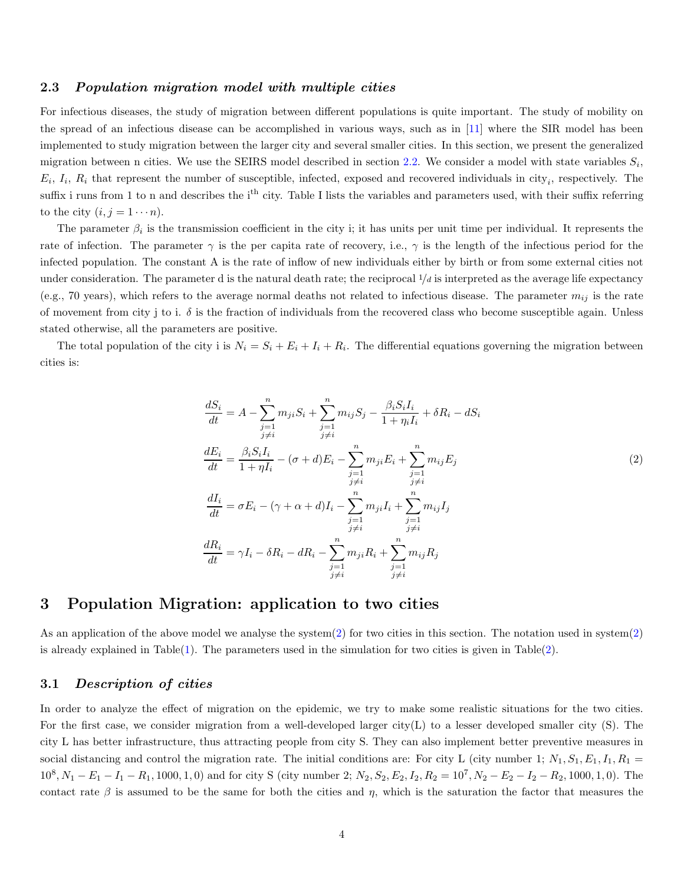#### 2.3 Population migration model with multiple cities

For infectious diseases, the study of migration between different populations is quite important. The study of mobility on the spread of an infectious disease can be accomplished in various ways, such as in [\[11\]](#page-15-10) where the SIR model has been implemented to study migration between the larger city and several smaller cities. In this section, we present the generalized migration between n cities. We use the SEIRS model described in section [2.2.](#page-2-0) We consider a model with state variables  $S_i$ ,  $E_i$ ,  $I_i$ ,  $R_i$  that represent the number of susceptible, infected, exposed and recovered individuals in city<sub>i</sub>, respectively. The suffix i runs from 1 to n and describes the i<sup>th</sup> city. Table I lists the variables and parameters used, with their suffix referring to the city  $(i, j = 1 \cdots n)$ .

The parameter  $\beta_i$  is the transmission coefficient in the city i; it has units per unit time per individual. It represents the rate of infection. The parameter  $\gamma$  is the per capita rate of recovery, i.e.,  $\gamma$  is the length of the infectious period for the infected population. The constant A is the rate of inflow of new individuals either by birth or from some external cities not under consideration. The parameter d is the natural death rate; the reciprocal  $1/d$  is interpreted as the average life expectancy (e.g., 70 years), which refers to the average normal deaths not related to infectious disease. The parameter  $m_{ij}$  is the rate of movement from city j to i.  $\delta$  is the fraction of individuals from the recovered class who become susceptible again. Unless stated otherwise, all the parameters are positive.

The total population of the city i is  $N_i = S_i + E_i + I_i + R_i$ . The differential equations governing the migration between cities is:

<span id="page-3-0"></span>
$$
\frac{dS_i}{dt} = A - \sum_{\substack{j=1 \ j \neq i}}^n m_{ji} S_i + \sum_{\substack{j=1 \ j \neq i}}^n m_{ij} S_j - \frac{\beta_i S_i I_i}{1 + \eta_i I_i} + \delta R_i - dS_i
$$
\n
$$
\frac{dE_i}{dt} = \frac{\beta_i S_i I_i}{1 + \eta I_i} - (\sigma + d) E_i - \sum_{\substack{j=1 \ j \neq i}}^n m_{ji} E_i + \sum_{\substack{j=1 \ j \neq i}}^n m_{ij} E_j
$$
\n
$$
\frac{dI_i}{dt} = \sigma E_i - (\gamma + \alpha + d) I_i - \sum_{\substack{j=1 \ j \neq i}}^n m_{ji} I_i + \sum_{\substack{j=1 \ j \neq i}}^n m_{ij} I_j
$$
\n
$$
\frac{dR_i}{dt} = \gamma I_i - \delta R_i - dR_i - \sum_{\substack{j=1 \ j \neq i}}^n m_{ji} R_i + \sum_{\substack{j=1 \ j \neq i}}^n m_{ij} R_j
$$
\n(2)

# 3 Population Migration: application to two cities

As an application of the above model we analyse the system[\(2\)](#page-3-0) for two cities in this section. The notation used in system[\(2\)](#page-3-0) is already explained in Table $(1)$ . The parameters used in the simulation for two cities is given in Table $(2)$ .

#### <span id="page-3-1"></span>3.1 Description of cities

In order to analyze the effect of migration on the epidemic, we try to make some realistic situations for the two cities. For the first case, we consider migration from a well-developed larger city(L) to a lesser developed smaller city (S). The city L has better infrastructure, thus attracting people from city S. They can also implement better preventive measures in social distancing and control the migration rate. The initial conditions are: For city L (city number 1;  $N_1, S_1, E_1, I_1, R_1 =$  $10^8$ ,  $N_1 - E_1 - I_1 - R_1$ , 1000, 1, 0) and for city S (city number 2;  $N_2$ ,  $S_2$ ,  $E_2$ ,  $I_2$ ,  $R_2 = 10^7$ ,  $N_2 - E_2 - I_2 - R_2$ , 1000, 1, 0). The contact rate  $\beta$  is assumed to be the same for both the cities and  $\eta$ , which is the saturation the factor that measures the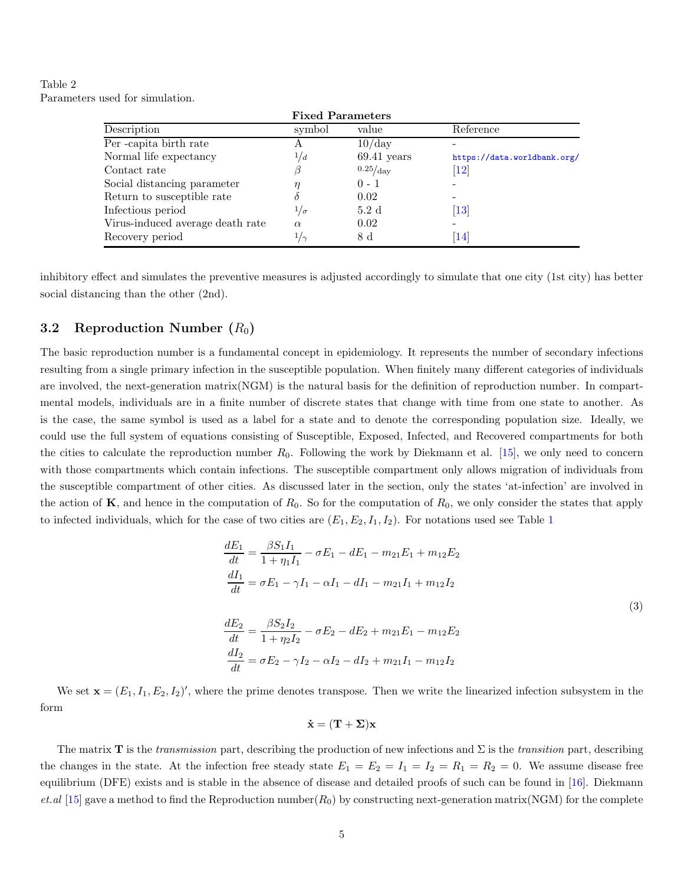<span id="page-4-0"></span>Table 2 Parameters used for simulation.

|                                  | <b>Fixed Parameters</b> |                   |                               |  |  |
|----------------------------------|-------------------------|-------------------|-------------------------------|--|--|
| Description                      | symbol                  | value             | Reference                     |  |  |
| Per-capita birth rate            | А                       | $10$ /day         |                               |  |  |
| Normal life expectancy           | 1/d                     | $69.41$ years     | https://data.worldbank.org/   |  |  |
| Contact rate                     | ß                       | $0.25/\text{day}$ | $\left\lceil 12\right\rceil$  |  |  |
| Social distancing parameter      | η                       | $0 - 1$           |                               |  |  |
| Return to susceptible rate       | δ                       | 0.02              |                               |  |  |
| Infectious period                | $1/\sigma$              | 5.2d              | $\left\lceil 13 \right\rceil$ |  |  |
| Virus-induced average death rate | $\alpha$                | 0.02              |                               |  |  |
| Recovery period                  | $1/\gamma$              | 8 d               | 14                            |  |  |

inhibitory effect and simulates the preventive measures is adjusted accordingly to simulate that one city (1st city) has better social distancing than the other (2nd).

## <span id="page-4-2"></span>3.2 Reproduction Number  $(R_0)$

The basic reproduction number is a fundamental concept in epidemiology. It represents the number of secondary infections resulting from a single primary infection in the susceptible population. When finitely many different categories of individuals are involved, the next-generation matrix(NGM) is the natural basis for the definition of reproduction number. In compartmental models, individuals are in a finite number of discrete states that change with time from one state to another. As is the case, the same symbol is used as a label for a state and to denote the corresponding population size. Ideally, we could use the full system of equations consisting of Susceptible, Exposed, Infected, and Recovered compartments for both the cities to calculate the reproduction number  $R_0$ . Following the work by Diekmann et al. [\[15\]](#page-16-3), we only need to concern with those compartments which contain infections. The susceptible compartment only allows migration of individuals from the susceptible compartment of other cities. As discussed later in the section, only the states 'at-infection' are involved in the action of  $\mathbf{K}$ , and hence in the computation of  $R_0$ . So for the computation of  $R_0$ , we only consider the states that apply to infected individuals, which for the case of two cities are  $(E_1, E_2, I_1, I_2)$  $(E_1, E_2, I_1, I_2)$  $(E_1, E_2, I_1, I_2)$ . For notations used see Table 1

$$
\frac{dE_1}{dt} = \frac{\beta S_1 I_1}{1 + \eta_1 I_1} - \sigma E_1 - dE_1 - m_{21} E_1 + m_{12} E_2
$$
\n
$$
\frac{dI_1}{dt} = \sigma E_1 - \gamma I_1 - \alpha I_1 - dI_1 - m_{21} I_1 + m_{12} I_2
$$
\n
$$
\frac{dE_2}{dt} = \frac{\beta S_2 I_2}{1 + \eta_2 I_2} - \sigma E_2 - dE_2 + m_{21} E_1 - m_{12} E_2
$$
\n
$$
\frac{dI_2}{dt} = \sigma E_2 - \gamma I_2 - \alpha I_2 - dI_2 + m_{21} I_1 - m_{12} I_2
$$
\n(3)

We set  $\mathbf{x} = (E_1, I_1, E_2, I_2)'$ , where the prime denotes transpose. Then we write the linearized infection subsystem in the form

<span id="page-4-1"></span>
$$
\mathbf{\dot{x}} = (\mathbf{T} + \mathbf{\Sigma}) \mathbf{x}
$$

The matrix **T** is the *transmission* part, describing the production of new infections and  $\Sigma$  is the *transition* part, describing the changes in the state. At the infection free steady state  $E_1 = E_2 = I_1 = I_2 = R_1 = R_2 = 0$ . We assume disease free equilibrium (DFE) exists and is stable in the absence of disease and detailed proofs of such can be found in [\[16\]](#page-16-4). Diekmann  $et. a\vert$  [\[15\]](#page-16-3) gave a method to find the Reproduction number( $R_0$ ) by constructing next-generation matrix(NGM) for the complete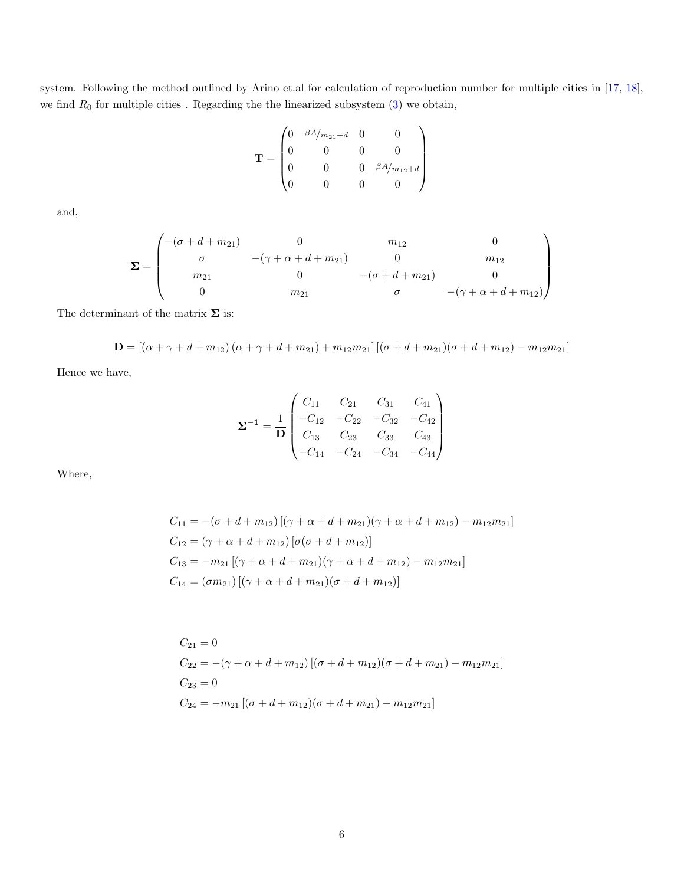system. Following the method outlined by Arino et.al for calculation of reproduction number for multiple cities in [\[17,](#page-16-5) [18\]](#page-16-6), we find  $R_0$  for multiple cities. Regarding the the linearized subsystem  $(3)$  we obtain,

$$
\mathbf{T} = \begin{pmatrix} 0 & \frac{\beta A}{m_{21} + d} & 0 & 0 \\ 0 & 0 & 0 & 0 \\ 0 & 0 & 0 & \frac{\beta A}{m_{12} + d} \\ 0 & 0 & 0 & 0 \end{pmatrix}
$$

and,

$$
\Sigma = \begin{pmatrix}\n-(\sigma + d + m_{21}) & 0 & m_{12} & 0 \\
\sigma & -(\gamma + \alpha + d + m_{21}) & 0 & m_{12} \\
m_{21} & 0 & -(\sigma + d + m_{21}) & 0 \\
0 & m_{21} & \sigma & -(\gamma + \alpha + d + m_{12})\n\end{pmatrix}
$$

The determinant of the matrix  $\boldsymbol{\Sigma}$  is:

$$
\mathbf{D} = \left[ \left( \alpha + \gamma + d + m_{12} \right) \left( \alpha + \gamma + d + m_{21} \right) + m_{12} m_{21} \right] \left[ \left( \sigma + d + m_{21} \right) \left( \sigma + d + m_{12} \right) - m_{12} m_{21} \right]
$$

Hence we have,

$$
\Sigma^{-1} = \frac{1}{D} \begin{pmatrix} C_{11} & C_{21} & C_{31} & C_{41} \\ -C_{12} & -C_{22} & -C_{32} & -C_{42} \\ C_{13} & C_{23} & C_{33} & C_{43} \\ -C_{14} & -C_{24} & -C_{34} & -C_{44} \end{pmatrix}
$$

Where,

$$
C_{11} = -(\sigma + d + m_{12}) [(\gamma + \alpha + d + m_{21})(\gamma + \alpha + d + m_{12}) - m_{12}m_{21}]
$$
  
\n
$$
C_{12} = (\gamma + \alpha + d + m_{12}) [\sigma(\sigma + d + m_{12})]
$$
  
\n
$$
C_{13} = -m_{21} [(\gamma + \alpha + d + m_{21})(\gamma + \alpha + d + m_{12}) - m_{12}m_{21}]
$$
  
\n
$$
C_{14} = (\sigma m_{21}) [(\gamma + \alpha + d + m_{21})(\sigma + d + m_{12})]
$$

$$
C_{21} = 0
$$
  
\n
$$
C_{22} = -(\gamma + \alpha + d + m_{12}) [(\sigma + d + m_{12})(\sigma + d + m_{21}) - m_{12}m_{21}]
$$
  
\n
$$
C_{23} = 0
$$
  
\n
$$
C_{24} = -m_{21} [(\sigma + d + m_{12})(\sigma + d + m_{21}) - m_{12}m_{21}]
$$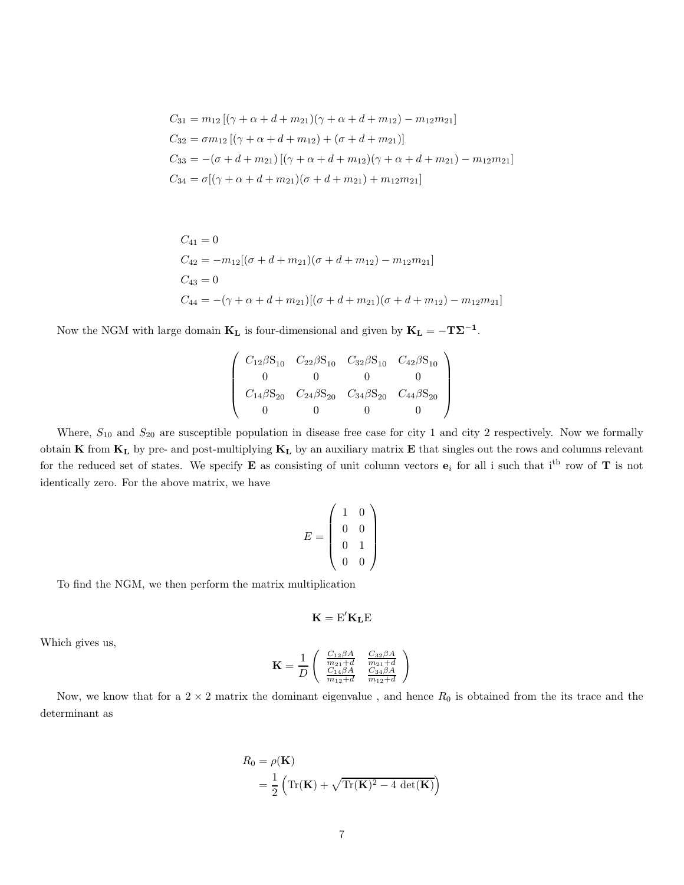$$
C_{31} = m_{12} [(\gamma + \alpha + d + m_{21})(\gamma + \alpha + d + m_{12}) - m_{12}m_{21}]
$$
  
\n
$$
C_{32} = \sigma m_{12} [(\gamma + \alpha + d + m_{12}) + (\sigma + d + m_{21})]
$$
  
\n
$$
C_{33} = -(\sigma + d + m_{21}) [(\gamma + \alpha + d + m_{12})(\gamma + \alpha + d + m_{21}) - m_{12}m_{21}]
$$
  
\n
$$
C_{34} = \sigma [(\gamma + \alpha + d + m_{21})(\sigma + d + m_{21}) + m_{12}m_{21}]
$$

$$
C_{41} = 0
$$
  
\n
$$
C_{42} = -m_{12}[(\sigma + d + m_{21})(\sigma + d + m_{12}) - m_{12}m_{21}]
$$
  
\n
$$
C_{43} = 0
$$
  
\n
$$
C_{44} = -(\gamma + \alpha + d + m_{21})[(\sigma + d + m_{21})(\sigma + d + m_{12}) - m_{12}m_{21}]
$$

Now the NGM with large domain  $\mathbf{K}_{\mathbf{L}}$  is four-dimensional and given by  $\mathbf{K}_{\mathbf{L}} = -\mathbf{T}\mathbf{\Sigma}^{-1}$ .

$$
\left(\begin{array}{cccc} C_{12}\beta S_{10} & C_{22}\beta S_{10} & C_{32}\beta S_{10} & C_{42}\beta S_{10} \\ 0 & 0 & 0 & 0 \\ C_{14}\beta S_{20} & C_{24}\beta S_{20} & C_{34}\beta S_{20} & C_{44}\beta S_{20} \\ 0 & 0 & 0 & 0 \end{array}\right)
$$

Where,  $S_{10}$  and  $S_{20}$  are susceptible population in disease free case for city 1 and city 2 respectively. Now we formally obtain  $K$  from  $K_L$  by pre- and post-multiplying  $K_L$  by an auxiliary matrix  $E$  that singles out the rows and columns relevant for the reduced set of states. We specify **E** as consisting of unit column vectors  $e_i$  for all i such that i<sup>th</sup> row of **T** is not identically zero. For the above matrix, we have

$$
E = \left(\begin{array}{cc} 1 & 0 \\ 0 & 0 \\ 0 & 1 \\ 0 & 0 \end{array}\right)
$$

To find the NGM, we then perform the matrix multiplication

$$
\mathbf{K} = E'\mathbf{K}_\mathbf{L} E
$$

Which gives us,

$$
\mathbf{K} = \frac{1}{D} \left( \begin{array}{cc} \frac{C_{12}\beta A}{m_{21} + d} & \frac{C_{32}\beta A}{m_{21} + d} \\ \frac{C_{14}\beta A}{m_{12} + d} & \frac{C_{34}\beta A}{m_{12} + d} \end{array} \right)
$$

Now, we know that for a  $2 \times 2$  matrix the dominant eigenvalue, and hence  $R_0$  is obtained from the its trace and the determinant as

$$
R_0 = \rho(\mathbf{K})
$$
  
=  $\frac{1}{2} \left( \text{Tr}(\mathbf{K}) + \sqrt{\text{Tr}(\mathbf{K})^2 - 4 \det(\mathbf{K})} \right)$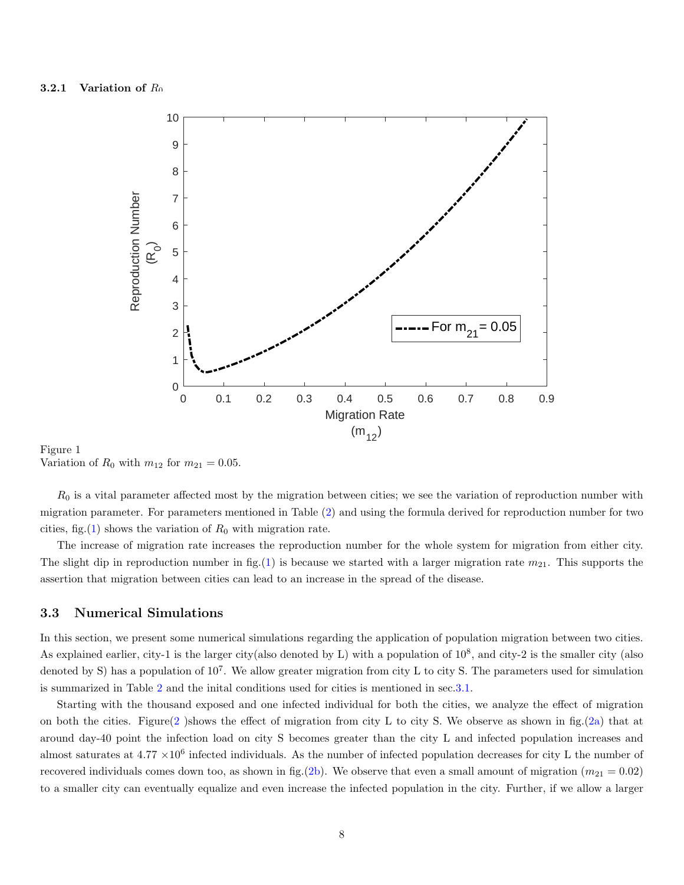<span id="page-7-0"></span>

Figure 1 Variation of  $R_0$  with  $m_{12}$  for  $m_{21} = 0.05$ .

 $R_0$  is a vital parameter affected most by the migration between cities; we see the variation of reproduction number with migration parameter. For parameters mentioned in Table [\(2\)](#page-4-0) and using the formula derived for reproduction number for two cities, fig.[\(1\)](#page-7-0) shows the variation of  $R_0$  with migration rate.

The increase of migration rate increases the reproduction number for the whole system for migration from either city. The slight dip in reproduction number in fig.[\(1\)](#page-7-0) is because we started with a larger migration rate  $m_{21}$ . This supports the assertion that migration between cities can lead to an increase in the spread of the disease.

#### 3.3 Numerical Simulations

In this section, we present some numerical simulations regarding the application of population migration between two cities. As explained earlier, city-1 is the larger city(also denoted by L) with a population of  $10^8$ , and city-2 is the smaller city (also denoted by S) has a population of  $10^7$ . We allow greater migration from city L to city S. The parameters used for simulation is summarized in Table [2](#page-4-0) and the inital conditions used for cities is mentioned in sec[.3.1.](#page-3-1)

Starting with the thousand exposed and one infected individual for both the cities, we analyze the effect of migration on both the cities. Figure[\(2](#page-8-0)) shows the effect of migration from city L to city S. We observe as shown in fig.[\(2a\)](#page-8-0) that at around day-40 point the infection load on city S becomes greater than the city L and infected population increases and almost saturates at  $4.77 \times 10^6$  infected individuals. As the number of infected population decreases for city L the number of recovered individuals comes down too, as shown in fig.[\(2b\)](#page-8-0). We observe that even a small amount of migration  $(m_{21} = 0.02)$ to a smaller city can eventually equalize and even increase the infected population in the city. Further, if we allow a larger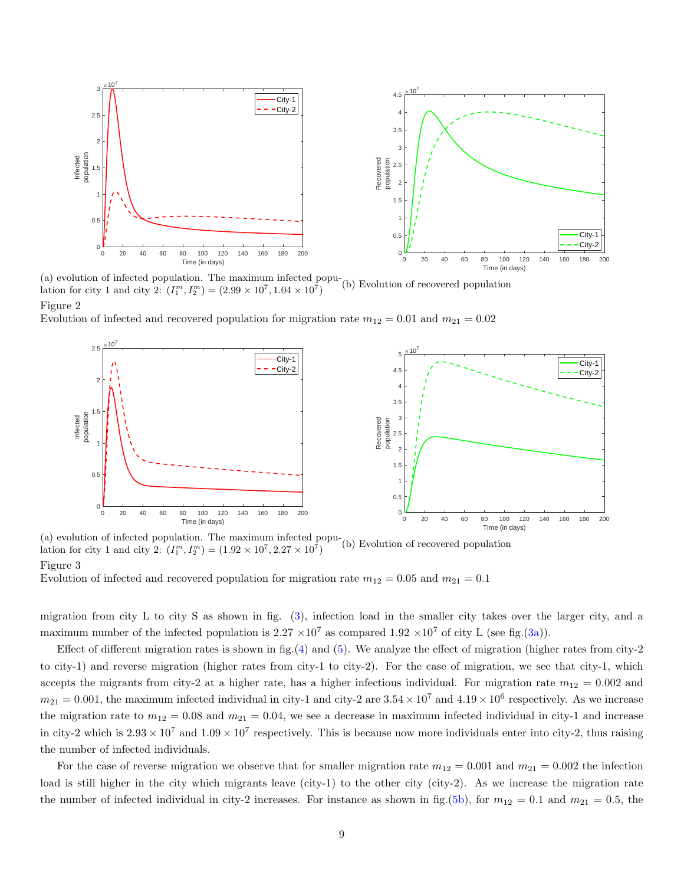<span id="page-8-0"></span>

(a) evolution of infected population. The maximum infected population for city 1 and city 2:  $(I_1^m, I_2^m) = (2.99 \times 10^7, 1.04 \times 10^7)$ (b) Evolution of recovered population

Figure 2

<span id="page-8-1"></span>Evolution of infected and recovered population for migration rate  $m_{12} = 0.01$  and  $m_{21} = 0.02$ 



(a) evolution of infected population. The maximum infected population for city 1 and city 2:  $(I_1^m, I_2^m) = (1.92 \times 10^7, 2.27 \times 10^7)$ (b) Evolution of recovered population Figure 3

Evolution of infected and recovered population for migration rate  $m_{12} = 0.05$  and  $m_{21} = 0.1$ 

migration from city L to city S as shown in fig. [\(3\)](#page-8-1), infection load in the smaller city takes over the larger city, and a maximum number of the infected population is  $2.27 \times 10^7$  as compared  $1.92 \times 10^7$  of city L (see fig.[\(3a\)](#page-8-1)).

Effect of different migration rates is shown in fig.  $(4)$  and  $(5)$ . We analyze the effect of migration (higher rates from city-2) to city-1) and reverse migration (higher rates from city-1 to city-2). For the case of migration, we see that city-1, which accepts the migrants from city-2 at a higher rate, has a higher infectious individual. For migration rate  $m_{12} = 0.002$  and  $m_{21} = 0.001$ , the maximum infected individual in city-1 and city-2 are  $3.54 \times 10^7$  and  $4.19 \times 10^6$  respectively. As we increase the migration rate to  $m_{12} = 0.08$  and  $m_{21} = 0.04$ , we see a decrease in maximum infected individual in city-1 and increase in city-2 which is  $2.93 \times 10^7$  and  $1.09 \times 10^7$  respectively. This is because now more individuals enter into city-2, thus raising the number of infected individuals.

For the case of reverse migration we observe that for smaller migration rate  $m_{12} = 0.001$  and  $m_{21} = 0.002$  the infection load is still higher in the city which migrants leave (city-1) to the other city (city-2). As we increase the migration rate the number of infected individual in city-2 increases. For instance as shown in fig.[\(5b\)](#page-9-1), for  $m_{12} = 0.1$  and  $m_{21} = 0.5$ , the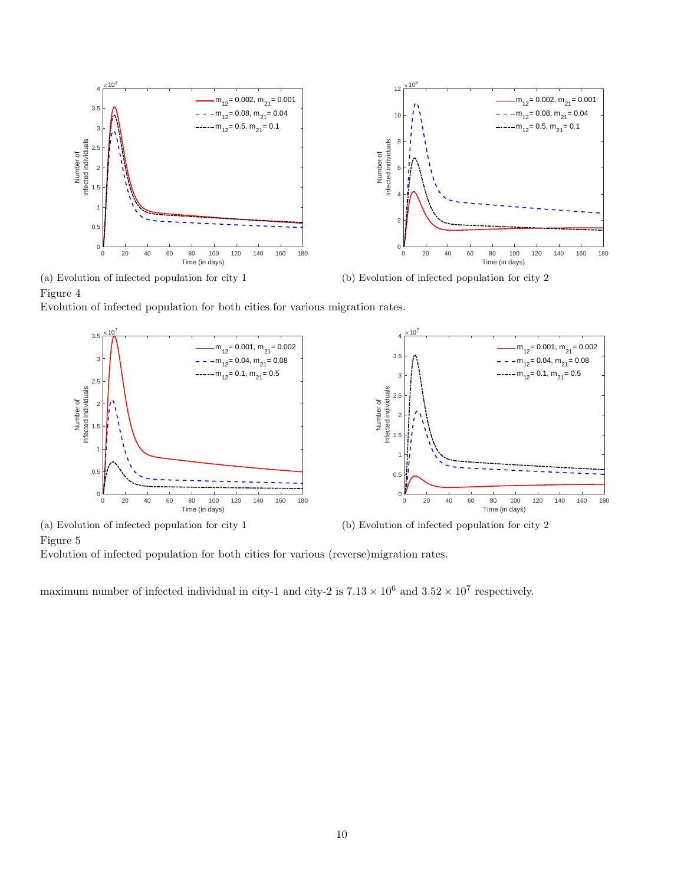<span id="page-9-0"></span>

(a) Evolution of infected population for city 1 Figure 4

<span id="page-9-1"></span>Evolution of infected population for both cities for various migration rates.



Figure 5

Evolution of infected population for both cities for various (reverse)migration rates.

maximum number of infected individual in city-1 and city-2 is  $7.13 \times 10^6$  and  $3.52 \times 10^7$  respectively.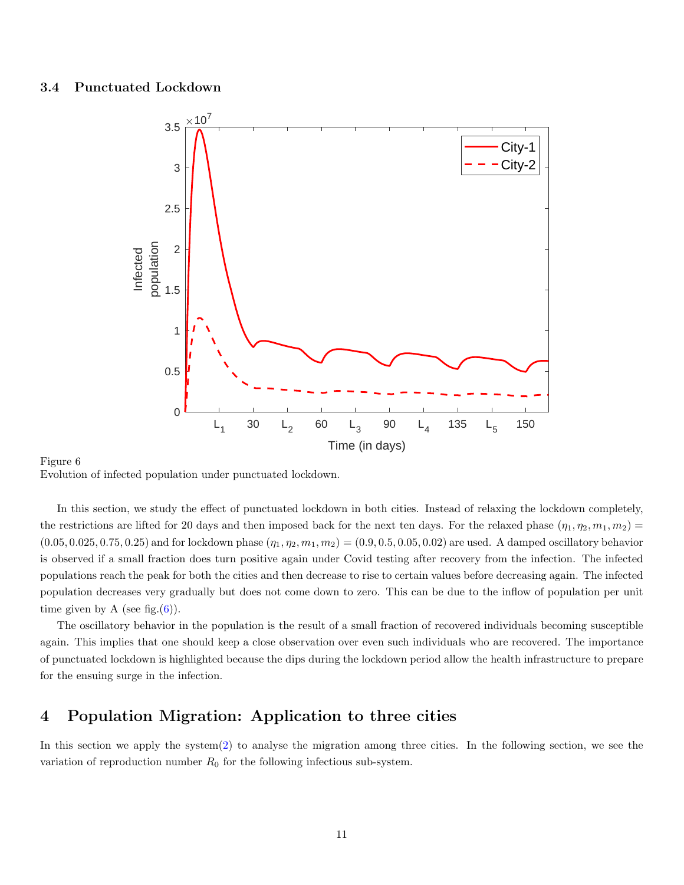## <span id="page-10-0"></span>3.4 Punctuated Lockdown



#### Figure 6 Evolution of infected population under punctuated lockdown.

In this section, we study the effect of punctuated lockdown in both cities. Instead of relaxing the lockdown completely, the restrictions are lifted for 20 days and then imposed back for the next ten days. For the relaxed phase  $(\eta_1, \eta_2, m_1, m_2)$  $(0.05, 0.025, 0.75, 0.25)$  and for lockdown phase  $(\eta_1, \eta_2, m_1, m_2) = (0.9, 0.5, 0.05, 0.02)$  are used. A damped oscillatory behavior is observed if a small fraction does turn positive again under Covid testing after recovery from the infection. The infected populations reach the peak for both the cities and then decrease to rise to certain values before decreasing again. The infected population decreases very gradually but does not come down to zero. This can be due to the inflow of population per unit time given by A (see fig.  $(6)$ ).

The oscillatory behavior in the population is the result of a small fraction of recovered individuals becoming susceptible again. This implies that one should keep a close observation over even such individuals who are recovered. The importance of punctuated lockdown is highlighted because the dips during the lockdown period allow the health infrastructure to prepare for the ensuing surge in the infection.

# 4 Population Migration: Application to three cities

In this section we apply the system[\(2\)](#page-3-0) to analyse the migration among three cities. In the following section, we see the variation of reproduction number  $R_0$  for the following infectious sub-system.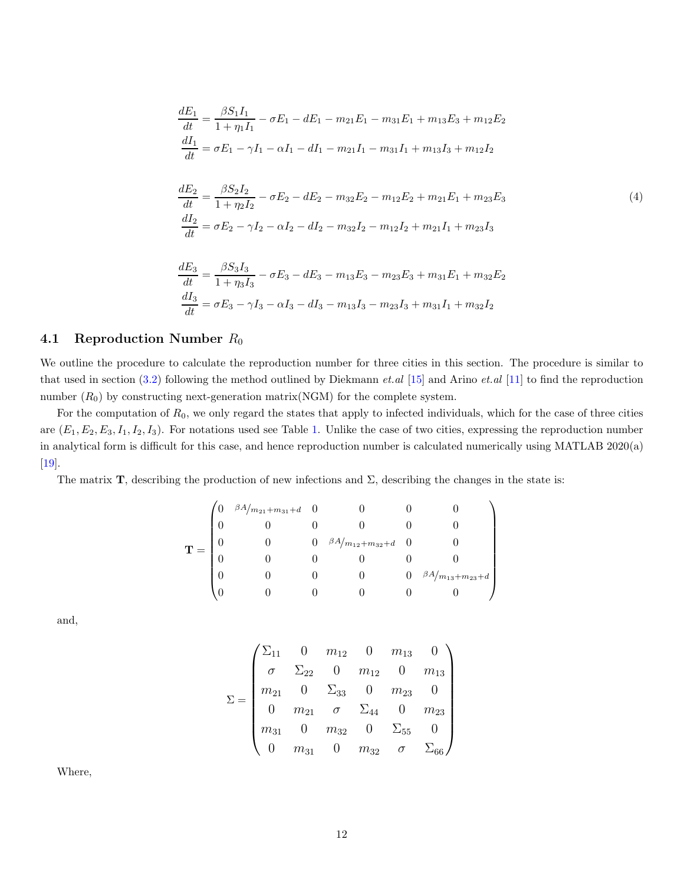$$
\frac{dE_1}{dt} = \frac{\beta S_1 I_1}{1 + \eta_1 I_1} - \sigma E_1 - dE_1 - m_{21}E_1 - m_{31}E_1 + m_{13}E_3 + m_{12}E_2
$$
\n
$$
\frac{dI_1}{dt} = \sigma E_1 - \gamma I_1 - \alpha I_1 - dI_1 - m_{21}I_1 - m_{31}I_1 + m_{13}I_3 + m_{12}I_2
$$
\n
$$
\frac{dE_2}{dt} = \frac{\beta S_2 I_2}{1 + \eta_2 I_2} - \sigma E_2 - dE_2 - m_{32}E_2 - m_{12}E_2 + m_{21}E_1 + m_{23}E_3
$$
\n
$$
\frac{dI_2}{dt} = \sigma E_2 - \gamma I_2 - \alpha I_2 - dI_2 - m_{32}I_2 - m_{12}I_2 + m_{21}I_1 + m_{23}I_3
$$
\n
$$
\frac{dE_3}{dt} = \frac{\beta S_3 I_3}{1 + \eta_3 I_3} - \sigma E_3 - dE_3 - m_{13}E_3 - m_{23}E_3 + m_{31}E_1 + m_{32}E_2
$$
\n
$$
\frac{dI_3}{dt} = \sigma E_3 - \gamma I_3 - \alpha I_3 - dI_3 - m_{13}I_3 - m_{23}I_3 + m_{31}I_1 + m_{32}I_2
$$

## 4.1 Reproduction Number  $R_0$

We outline the procedure to calculate the reproduction number for three cities in this section. The procedure is similar to that used in section [\(3.2\)](#page-4-2) following the method outlined by Diekmann *et.al* [\[15\]](#page-16-3) and Arino *et.al* [\[11\]](#page-15-10) to find the reproduction number  $(R_0)$  by constructing next-generation matrix(NGM) for the complete system.

For the computation of  $R_0$ , we only regard the states that apply to infected individuals, which for the case of three cities are  $(E_1, E_2, E_3, I_1, I_2, I_3)$ . For notations used see Table [1.](#page-1-0) Unlike the case of two cities, expressing the reproduction number in analytical form is difficult for this case, and hence reproduction number is calculated numerically using MATLAB 2020(a) [\[19\]](#page-16-7).

The matrix **T**, describing the production of new infections and  $\Sigma$ , describing the changes in the state is:

$$
\mathbf{T} = \begin{pmatrix} 0 & \frac{\beta A}{m_{21} + m_{31} + d} & 0 & 0 & 0 & 0 \\ 0 & 0 & 0 & 0 & 0 & 0 \\ 0 & 0 & 0 & \frac{\beta A}{m_{12} + m_{32} + d} & 0 & 0 \\ 0 & 0 & 0 & 0 & 0 & 0 \\ 0 & 0 & 0 & 0 & 0 & \frac{\beta A}{m_{13} + m_{23} + d} \\ 0 & 0 & 0 & 0 & 0 & 0 \end{pmatrix}
$$

and,

$$
\Sigma = \begin{pmatrix}\n\Sigma_{11} & 0 & m_{12} & 0 & m_{13} & 0 \\
\sigma & \Sigma_{22} & 0 & m_{12} & 0 & m_{13} \\
m_{21} & 0 & \Sigma_{33} & 0 & m_{23} & 0 \\
0 & m_{21} & \sigma & \Sigma_{44} & 0 & m_{23} \\
m_{31} & 0 & m_{32} & 0 & \Sigma_{55} & 0 \\
0 & m_{31} & 0 & m_{32} & \sigma & \Sigma_{66}\n\end{pmatrix}
$$

Where,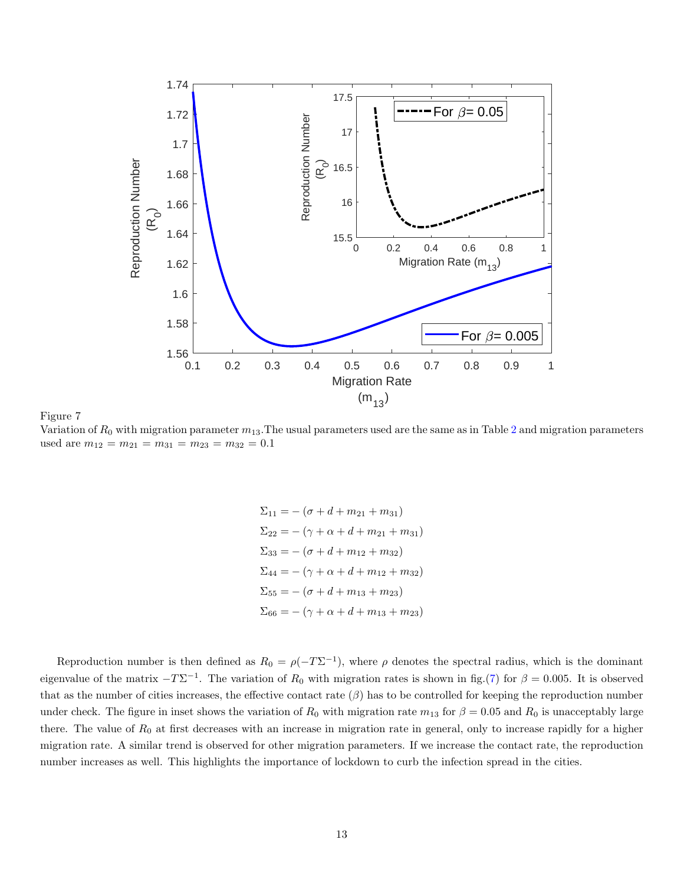<span id="page-12-0"></span>

Figure 7 Variation of  $R_0$  with migration parameter  $m_{13}$ . The usual parameters used are the same as in Table [2](#page-4-0) and migration parameters used are  $m_{12} = m_{21} = m_{31} = m_{23} = m_{32} = 0.1$ 

 $\Sigma_{11} = -(\sigma + d + m_{21} + m_{31})$  $\Sigma_{22} = -(\gamma + \alpha + d + m_{21} + m_{31})$  $\Sigma_{33} = -(\sigma + d + m_{12} + m_{32})$  $\Sigma_{44} = -(\gamma + \alpha + d + m_{12} + m_{32})$  $\Sigma_{55} = -(\sigma + d + m_{13} + m_{23})$  $\Sigma_{66} = -(\gamma + \alpha + d + m_{13} + m_{23})$ 

Reproduction number is then defined as  $R_0 = \rho(-T\Sigma^{-1})$ , where  $\rho$  denotes the spectral radius, which is the dominant eigenvalue of the matrix  $-T\Sigma^{-1}$ . The variation of  $R_0$  with migration rates is shown in fig.[\(7\)](#page-12-0) for  $\beta = 0.005$ . It is observed that as the number of cities increases, the effective contact rate  $(\beta)$  has to be controlled for keeping the reproduction number under check. The figure in inset shows the variation of  $R_0$  with migration rate  $m_{13}$  for  $\beta = 0.05$  and  $R_0$  is unacceptably large there. The value of  $R_0$  at first decreases with an increase in migration rate in general, only to increase rapidly for a higher migration rate. A similar trend is observed for other migration parameters. If we increase the contact rate, the reproduction number increases as well. This highlights the importance of lockdown to curb the infection spread in the cities.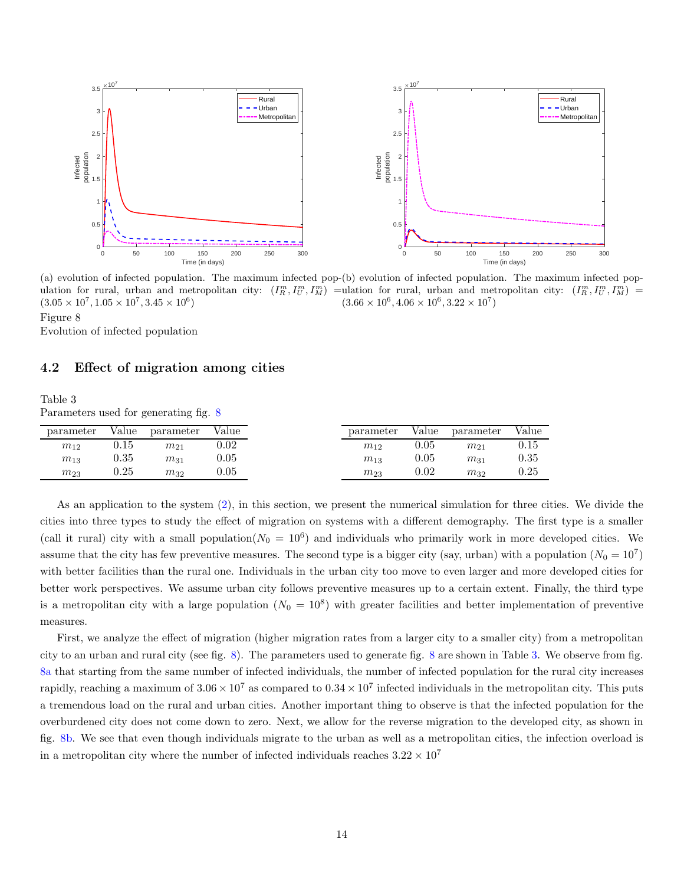<span id="page-13-0"></span>

(a) evolution of infected population. The maximum infected pop-(b) evolution of infected population. The maximum infected population for rural, urban and metropolitan city:  $(I_R^m, I_U^m, I_M^m)$  = ulation for rural, urban and metropolitan city:  $(I_R^m, I_U^m, I_M^m)$  =  $(3.05 \times 10^7, 1.05 \times 10^7, 3.45 \times 10^6)$  $(3.66 \times 10^6, 4.06 \times 10^6, 3.22 \times 10^7)$ 

## Figure 8

Evolution of infected population

#### <span id="page-13-1"></span>4.2 Effect of migration among cities

#### Table 3 Parameters used for generating fig. [8](#page-13-0)

| parameter | Value      | parameter | Value      | parameter | Value      | parameter |
|-----------|------------|-----------|------------|-----------|------------|-----------|
| $m_{12}$  | $\rm 0.15$ | $m_{21}$  | $0.02\,$   | $m_{12}$  | 0.05       | $m_{21}$  |
| $m_{13}$  | 0.35       | $m_{31}$  | $\rm 0.05$ | $m_{13}$  | $\rm 0.05$ | $m_{31}$  |
| $m_{23}$  | $0.25\,$   | $m_{32}$  | $\rm 0.05$ | $m_{23}$  | $\rm 0.02$ | $m_{32}$  |

As an application to the system [\(2\)](#page-3-0), in this section, we present the numerical simulation for three cities. We divide the cities into three types to study the effect of migration on systems with a different demography. The first type is a smaller (call it rural) city with a small population( $N_0 = 10^6$ ) and individuals who primarily work in more developed cities. We assume that the city has few preventive measures. The second type is a bigger city (say, urban) with a population  $(N_0 = 10^7)$ with better facilities than the rural one. Individuals in the urban city too move to even larger and more developed cities for better work perspectives. We assume urban city follows preventive measures up to a certain extent. Finally, the third type is a metropolitan city with a large population  $(N_0 = 10^8)$  with greater facilities and better implementation of preventive measures.

First, we analyze the effect of migration (higher migration rates from a larger city to a smaller city) from a metropolitan city to an urban and rural city (see fig. [8\)](#page-13-0). The parameters used to generate fig. [8](#page-13-0) are shown in Table [3.](#page-13-1) We observe from fig. [8a](#page-13-0) that starting from the same number of infected individuals, the number of infected population for the rural city increases rapidly, reaching a maximum of  $3.06 \times 10^7$  as compared to  $0.34 \times 10^7$  infected individuals in the metropolitan city. This puts a tremendous load on the rural and urban cities. Another important thing to observe is that the infected population for the overburdened city does not come down to zero. Next, we allow for the reverse migration to the developed city, as shown in fig. [8b.](#page-13-0) We see that even though individuals migrate to the urban as well as a metropolitan cities, the infection overload is in a metropolitan city where the number of infected individuals reaches  $3.22 \times 10^7$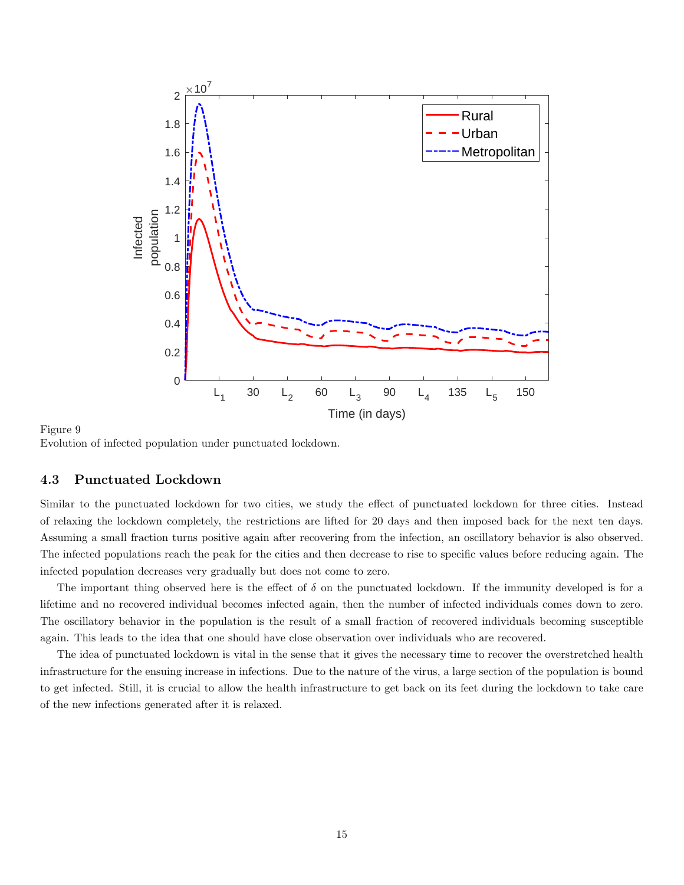

Figure 9 Evolution of infected population under punctuated lockdown.

#### 4.3 Punctuated Lockdown

Similar to the punctuated lockdown for two cities, we study the effect of punctuated lockdown for three cities. Instead of relaxing the lockdown completely, the restrictions are lifted for 20 days and then imposed back for the next ten days. Assuming a small fraction turns positive again after recovering from the infection, an oscillatory behavior is also observed. The infected populations reach the peak for the cities and then decrease to rise to specific values before reducing again. The infected population decreases very gradually but does not come to zero.

The important thing observed here is the effect of  $\delta$  on the punctuated lockdown. If the immunity developed is for a lifetime and no recovered individual becomes infected again, then the number of infected individuals comes down to zero. The oscillatory behavior in the population is the result of a small fraction of recovered individuals becoming susceptible again. This leads to the idea that one should have close observation over individuals who are recovered.

The idea of punctuated lockdown is vital in the sense that it gives the necessary time to recover the overstretched health infrastructure for the ensuing increase in infections. Due to the nature of the virus, a large section of the population is bound to get infected. Still, it is crucial to allow the health infrastructure to get back on its feet during the lockdown to take care of the new infections generated after it is relaxed.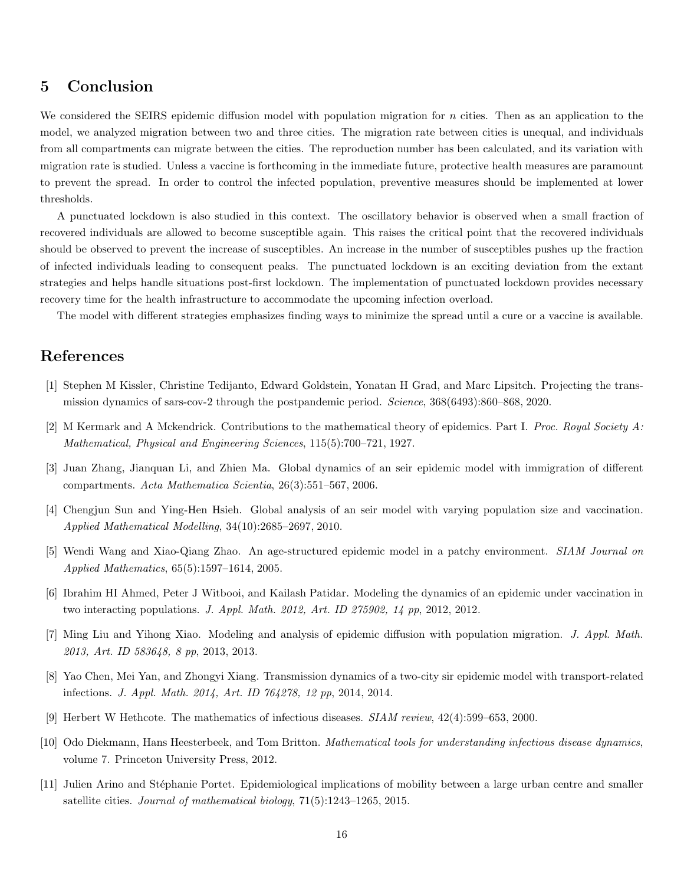# 5 Conclusion

We considered the SEIRS epidemic diffusion model with population migration for  $n$  cities. Then as an application to the model, we analyzed migration between two and three cities. The migration rate between cities is unequal, and individuals from all compartments can migrate between the cities. The reproduction number has been calculated, and its variation with migration rate is studied. Unless a vaccine is forthcoming in the immediate future, protective health measures are paramount to prevent the spread. In order to control the infected population, preventive measures should be implemented at lower thresholds.

A punctuated lockdown is also studied in this context. The oscillatory behavior is observed when a small fraction of recovered individuals are allowed to become susceptible again. This raises the critical point that the recovered individuals should be observed to prevent the increase of susceptibles. An increase in the number of susceptibles pushes up the fraction of infected individuals leading to consequent peaks. The punctuated lockdown is an exciting deviation from the extant strategies and helps handle situations post-first lockdown. The implementation of punctuated lockdown provides necessary recovery time for the health infrastructure to accommodate the upcoming infection overload.

The model with different strategies emphasizes finding ways to minimize the spread until a cure or a vaccine is available.

# <span id="page-15-0"></span>References

- <span id="page-15-1"></span>[1] Stephen M Kissler, Christine Tedijanto, Edward Goldstein, Yonatan H Grad, and Marc Lipsitch. Projecting the transmission dynamics of sars-cov-2 through the postpandemic period. *Science*, 368(6493):860–868, 2020.
- <span id="page-15-2"></span>[2] M Kermark and A Mckendrick. Contributions to the mathematical theory of epidemics. Part I. *Proc. Royal Society A: Mathematical, Physical and Engineering Sciences*, 115(5):700–721, 1927.
- <span id="page-15-3"></span>[3] Juan Zhang, Jianquan Li, and Zhien Ma. Global dynamics of an seir epidemic model with immigration of different compartments. *Acta Mathematica Scientia*, 26(3):551–567, 2006.
- <span id="page-15-4"></span>[4] Chengjun Sun and Ying-Hen Hsieh. Global analysis of an seir model with varying population size and vaccination. *Applied Mathematical Modelling*, 34(10):2685–2697, 2010.
- <span id="page-15-5"></span>[5] Wendi Wang and Xiao-Qiang Zhao. An age-structured epidemic model in a patchy environment. *SIAM Journal on Applied Mathematics*, 65(5):1597–1614, 2005.
- <span id="page-15-6"></span>[6] Ibrahim HI Ahmed, Peter J Witbooi, and Kailash Patidar. Modeling the dynamics of an epidemic under vaccination in two interacting populations. *J. Appl. Math. 2012, Art. ID 275902, 14 pp*, 2012, 2012.
- <span id="page-15-7"></span>[7] Ming Liu and Yihong Xiao. Modeling and analysis of epidemic diffusion with population migration. *J. Appl. Math. 2013, Art. ID 583648, 8 pp*, 2013, 2013.
- <span id="page-15-8"></span>[8] Yao Chen, Mei Yan, and Zhongyi Xiang. Transmission dynamics of a two-city sir epidemic model with transport-related infections. *J. Appl. Math. 2014, Art. ID 764278, 12 pp*, 2014, 2014.
- <span id="page-15-9"></span>[9] Herbert W Hethcote. The mathematics of infectious diseases. *SIAM review*, 42(4):599–653, 2000.
- <span id="page-15-10"></span>[10] Odo Diekmann, Hans Heesterbeek, and Tom Britton. *Mathematical tools for understanding infectious disease dynamics*, volume 7. Princeton University Press, 2012.
- [11] Julien Arino and St´ephanie Portet. Epidemiological implications of mobility between a large urban centre and smaller satellite cities. *Journal of mathematical biology*, 71(5):1243–1265, 2015.